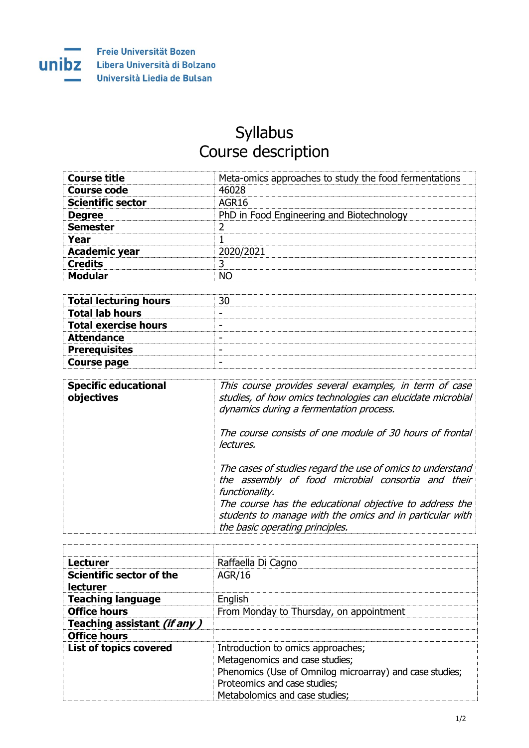

## Syllabus Course description

| <b>Course title</b>      | Meta-omics approaches to study the food fermentations |
|--------------------------|-------------------------------------------------------|
| <b>Course code</b>       | 46028                                                 |
| <b>Scientific sector</b> | AGR16                                                 |
| <b>Degree</b>            | PhD in Food Engineering and Biotechnology             |
| <b>Semester</b>          |                                                       |
| Year                     |                                                       |
| <b>Academic year</b>     | 2020/2021                                             |
| <b>Credits</b>           |                                                       |
| <b>Modular</b>           | NΩ                                                    |

| <b>Total lecturing hours</b> |  |
|------------------------------|--|
| <b>Total lab hours</b>       |  |
| <b>Total exercise hours</b>  |  |
| <b>Attendance</b>            |  |
| <b>Prerequisites</b>         |  |
| <b>Course page</b>           |  |

| <b>Specific educational</b><br>objectives | This course provides several examples, in term of case<br>studies, of how omics technologies can elucidate microbial<br>dynamics during a fermentation process.                                                                                                                              |
|-------------------------------------------|----------------------------------------------------------------------------------------------------------------------------------------------------------------------------------------------------------------------------------------------------------------------------------------------|
|                                           | The course consists of one module of 30 hours of frontal<br>lectures.                                                                                                                                                                                                                        |
|                                           | The cases of studies regard the use of omics to understand<br>the assembly of food microbial consortia and their<br>functionality.<br>The course has the educational objective to address the<br>students to manage with the omics and in particular with<br>the basic operating principles. |

| <b>Lecturer</b>                             | Raffaella Di Cagno                                                                                                                                                                               |
|---------------------------------------------|--------------------------------------------------------------------------------------------------------------------------------------------------------------------------------------------------|
| Scientific sector of the<br><b>lecturer</b> | AGR/16                                                                                                                                                                                           |
| <b>Teaching language</b>                    | English                                                                                                                                                                                          |
| <b>Office hours</b>                         | From Monday to Thursday, on appointment                                                                                                                                                          |
| Teaching assistant (if any)                 |                                                                                                                                                                                                  |
| <b>Office hours</b>                         |                                                                                                                                                                                                  |
| <b>List of topics covered</b>               | Introduction to omics approaches;<br>Metagenomics and case studies;<br>Phenomics (Use of Omnilog microarray) and case studies;<br>Proteomics and case studies;<br>Metabolomics and case studies; |